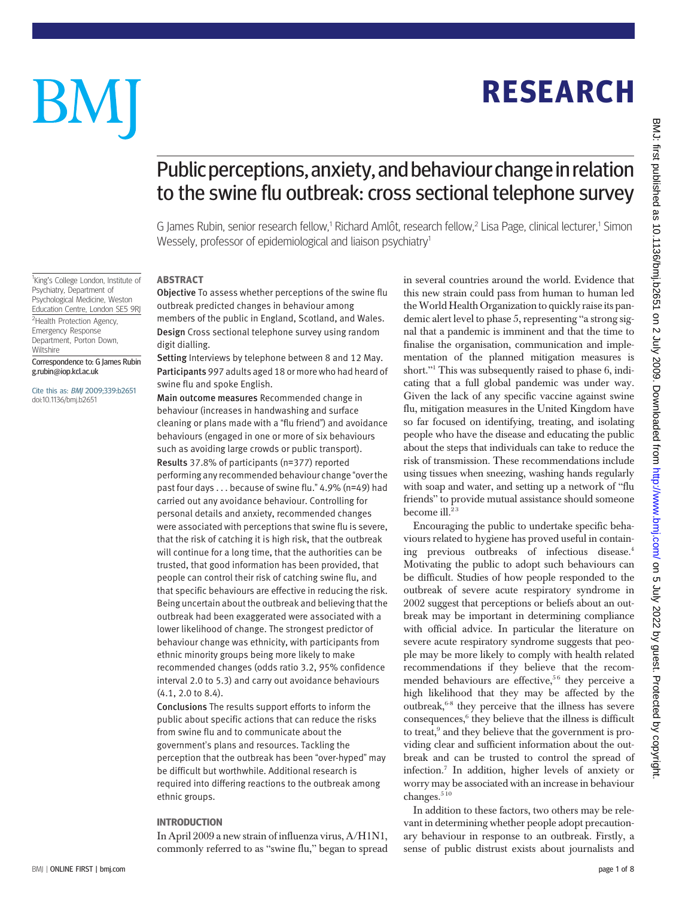## RESEARCH

# BM

<sup>1</sup>King's College London, Institute of Psychiatry, Department of Psychological Medicine, Weston Education Centre, London SE5 9RJ <sup>2</sup>Health Protection Agency, Emergency Response Department, Porton Down,

Correspondence to: G James Rubin

Cite this as: BMJ 2009;339:b2651 doi:10.1136/bmj.b2651

Wiltshire

g.rubin@iop.kcl.ac.uk

### Public perceptions, anxiety, and behaviour change in relation to the swine flu outbreak: cross sectional telephone survey

G James Rubin, senior research fellow,<sup>1</sup> Richard Amlôt, research fellow,<sup>2</sup> Lisa Page, clinical lecturer,<sup>1</sup> Simon Wessely, professor of epidemiological and liaison psychiatry<sup>1</sup>

#### **ABSTRACT**

Objective To assess whether perceptions of the swine flu outbreak predicted changes in behaviour among members of the public in England, Scotland, and Wales. Design Cross sectional telephone survey using random digit dialling.

Setting Interviews by telephone between 8 and 12 May. Participants 997 adults aged 18 or more who had heard of swine flu and spoke English.

Main outcome measures Recommended change in behaviour (increases in handwashing and surface cleaning or plans made with a "flu friend") and avoidance behaviours (engaged in one or more of six behaviours such as avoiding large crowds or public transport). Results 37.8% of participants (n=377) reported performing any recommended behaviour change "over the past four days . . . because of swine flu." 4.9% (n=49) had carried out any avoidance behaviour. Controlling for personal details and anxiety, recommended changes were associated with perceptions that swine flu is severe, that the risk of catching it is high risk, that the outbreak will continue for a long time, that the authorities can be trusted, that good information has been provided, that people can control their risk of catching swine flu, and that specific behaviours are effective in reducing the risk. Being uncertain about the outbreak and believing that the outbreak had been exaggerated were associated with a lower likelihood of change. The strongest predictor of behaviour change was ethnicity, with participants from ethnic minority groups being more likely to make recommended changes (odds ratio 3.2, 95% confidence interval 2.0 to 5.3) and carry out avoidance behaviours (4.1, 2.0 to 8.4).

Conclusions The results support efforts to inform the public about specific actions that can reduce the risks from swine flu and to communicate about the government's plans and resources. Tackling the perception that the outbreak has been "over-hyped" may be difficult but worthwhile. Additional research is required into differing reactions to the outbreak among ethnic groups.

#### INTRODUCTION

In April 2009 a new strain of influenza virus, A/H1N1, commonly referred to as "swine flu," began to spread in several countries around the world. Evidence that this new strain could pass from human to human led theWorld Health Organization to quickly raise its pandemic alert level to phase 5, representing "a strong signal that a pandemic is imminent and that the time to finalise the organisation, communication and implementation of the planned mitigation measures is short."<sup>1</sup> This was subsequently raised to phase 6, indicating that a full global pandemic was under way. Given the lack of any specific vaccine against swine flu, mitigation measures in the United Kingdom have so far focused on identifying, treating, and isolating people who have the disease and educating the public about the steps that individuals can take to reduce the risk of transmission. These recommendations include using tissues when sneezing, washing hands regularly with soap and water, and setting up a network of "flu friends" to provide mutual assistance should someone become ill.2 3

Encouraging the public to undertake specific behaviours related to hygiene has proved useful in containing previous outbreaks of infectious disease.4 Motivating the public to adopt such behaviours can be difficult. Studies of how people responded to the outbreak of severe acute respiratory syndrome in 2002 suggest that perceptions or beliefs about an outbreak may be important in determining compliance with official advice. In particular the literature on severe acute respiratory syndrome suggests that people may be more likely to comply with health related recommendations if they believe that the recommended behaviours are effective, $56$  they perceive a high likelihood that they may be affected by the outbreak,<sup>6-8</sup> they perceive that the illness has severe consequences,<sup>6</sup> they believe that the illness is difficult to treat,<sup>9</sup> and they believe that the government is providing clear and sufficient information about the outbreak and can be trusted to control the spread of infection.7 In addition, higher levels of anxiety or worry may be associated with an increase in behaviour changes.<sup>510</sup>

In addition to these factors, two others may be relevant in determining whether people adopt precautionary behaviour in response to an outbreak. Firstly, a sense of public distrust exists about journalists and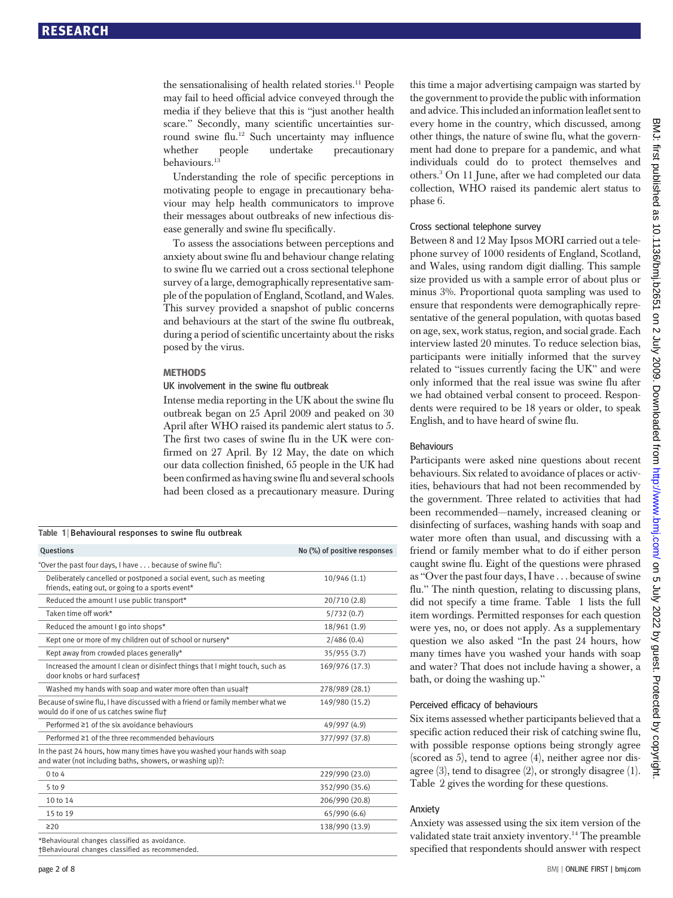the sensationalising of health related stories.<sup>11</sup> People may fail to heed official advice conveyed through the media if they believe that this is "just another health scare." Secondly, many scientific uncertainties surround swine flu.12 Such uncertainty may influence whether people undertake precautionary behaviours.<sup>13</sup>

Understanding the role of specific perceptions in motivating people to engage in precautionary behaviour may help health communicators to improve their messages about outbreaks of new infectious disease generally and swine flu specifically.

To assess the associations between perceptions and anxiety about swine flu and behaviour change relating to swine flu we carried out a cross sectional telephone survey of a large, demographically representative sample of the population of England, Scotland, and Wales. This survey provided a snapshot of public concerns and behaviours at the start of the swine flu outbreak, during a period of scientific uncertainty about the risks posed by the virus.

#### **METHODS**

#### UK involvement in the swine flu outbreak

Intense media reporting in the UK about the swine flu outbreak began on 25 April 2009 and peaked on 30 April after WHO raised its pandemic alert status to 5. The first two cases of swine flu in the UK were confirmed on 27 April. By 12 May, the date on which our data collection finished, 65 people in the UK had been confirmed as having swine flu and several schools had been closed as a precautionary measure. During

#### Table 1 | Behavioural responses to swine flu outbreak

| <b>Ouestions</b>                                                                                                                       | No (%) of positive responses |
|----------------------------------------------------------------------------------------------------------------------------------------|------------------------------|
| "Over the past four days, I have because of swine flu":                                                                                |                              |
| Deliberately cancelled or postponed a social event, such as meeting<br>friends, eating out, or going to a sports event*                | 10/946(1.1)                  |
| Reduced the amount I use public transport*                                                                                             | 20/710 (2.8)                 |
| Taken time off work*                                                                                                                   | 5/732(0.7)                   |
| Reduced the amount I go into shops*                                                                                                    | 18/961 (1.9)                 |
| Kept one or more of my children out of school or nursery*                                                                              | 2/486(0.4)                   |
| Kept away from crowded places generally*                                                                                               | 35/955(3.7)                  |
| Increased the amount I clean or disinfect things that I might touch, such as<br>door knobs or hard surfacest                           | 169/976 (17.3)               |
| Washed my hands with soap and water more often than usualt                                                                             | 278/989 (28.1)               |
| Because of swine flu, I have discussed with a friend or family member what we<br>would do if one of us catches swine flut              | 149/980 (15.2)               |
| Performed ≥1 of the six avoidance behaviours                                                                                           | 49/997 (4.9)                 |
| Performed ≥1 of the three recommended behaviours                                                                                       | 377/997 (37.8)               |
| In the past 24 hours, how many times have you washed your hands with soap<br>and water (not including baths, showers, or washing up)?: |                              |
| $0$ to $4$                                                                                                                             | 229/990 (23.0)               |
| 5 to 9                                                                                                                                 | 352/990 (35.6)               |
| 10 to 14                                                                                                                               | 206/990 (20.8)               |
| 15 to 19                                                                                                                               | 65/990(6.6)                  |
| $\geq$ 20                                                                                                                              | 138/990 (13.9)               |
| *Behavioural changes classified as avoidance.<br>†Behavioural changes classified as recommended.                                       |                              |

this time a major advertising campaign was started by the government to provide the public with information and advice. This included an information leaflet sent to every home in the country, which discussed, among other things, the nature of swine flu, what the government had done to prepare for a pandemic, and what individuals could do to protect themselves and others.3 On 11 June, after we had completed our data collection, WHO raised its pandemic alert status to phase 6.

#### Cross sectional telephone survey

Between 8 and 12 May Ipsos MORI carried out a telephone survey of 1000 residents of England, Scotland, and Wales, using random digit dialling. This sample size provided us with a sample error of about plus or minus 3%. Proportional quota sampling was used to ensure that respondents were demographically representative of the general population, with quotas based on age, sex, work status, region, and social grade. Each interview lasted 20 minutes. To reduce selection bias, participants were initially informed that the survey related to "issues currently facing the UK" and were only informed that the real issue was swine flu after we had obtained verbal consent to proceed. Respondents were required to be 18 years or older, to speak English, and to have heard of swine flu.

#### Behaviours

Participants were asked nine questions about recent behaviours. Six related to avoidance of places or activities, behaviours that had not been recommended by the government. Three related to activities that had been recommended—namely, increased cleaning or disinfecting of surfaces, washing hands with soap and water more often than usual, and discussing with a friend or family member what to do if either person caught swine flu. Eight of the questions were phrased as "Over the past four days, I have . . . because of swine flu." The ninth question, relating to discussing plans, did not specify a time frame. Table 1 lists the full item wordings. Permitted responses for each question were yes, no, or does not apply. As a supplementary question we also asked "In the past 24 hours, how many times have you washed your hands with soap and water? That does not include having a shower, a bath, or doing the washing up."

#### Perceived efficacy of behaviours

Six items assessed whether participants believed that a specific action reduced their risk of catching swine flu, with possible response options being strongly agree (scored as 5), tend to agree (4), neither agree nor disagree (3), tend to disagree (2), or strongly disagree (1). Table 2 gives the wording for these questions.

#### Anxiety

Anxiety was assessed using the six item version of the validated state trait anxiety inventory.<sup>14</sup> The preamble specified that respondents should answer with respect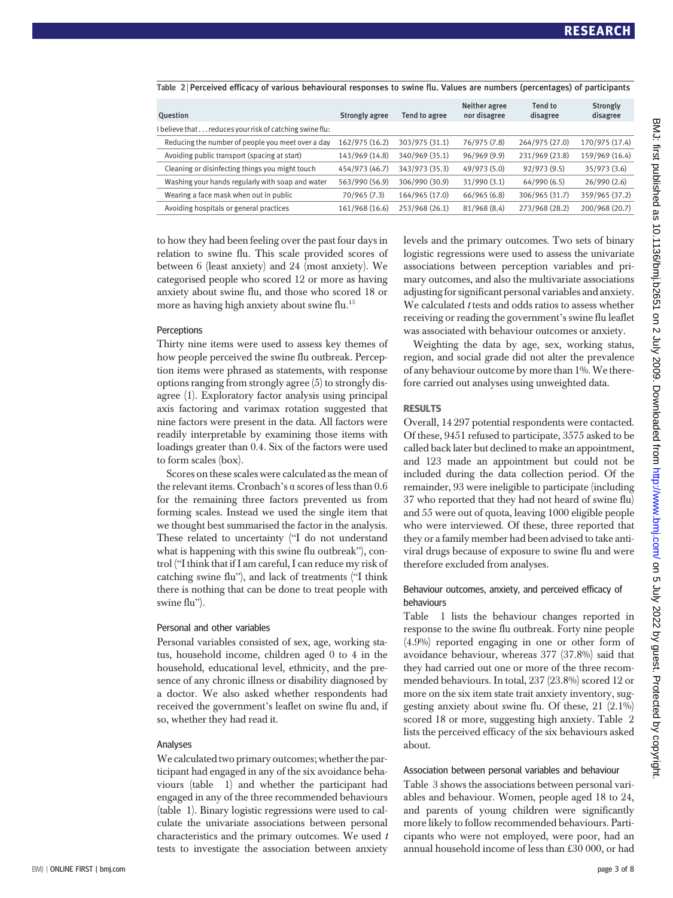| Question                                                | Strongly agree | Tend to agree  | Neither agree<br>nor disagree | Tend to<br>disagree | Strongly<br>disagree |
|---------------------------------------------------------|----------------|----------------|-------------------------------|---------------------|----------------------|
| I believe that reduces your risk of catching swine flu: |                |                |                               |                     |                      |
| Reducing the number of people you meet over a day       | 162/975 (16.2) | 303/975 (31.1) | 76/975 (7.8)                  | 264/975 (27.0)      | 170/975 (17.4)       |
| Avoiding public transport (spacing at start)            | 143/969 (14.8) | 340/969 (35.1) | 96/969(9.9)                   | 231/969 (23.8)      | 159/969 (16.4)       |
| Cleaning or disinfecting things you might touch         | 454/973 (46.7) | 343/973 (35.3) | 49/973 (5.0)                  | 92/973(9.5)         | 35/973(3.6)          |
| Washing your hands regularly with soap and water        | 563/990 (56.9) | 306/990 (30.9) | 31/990 (3.1)                  | 64/990(6.5)         | 26/990(2.6)          |
| Wearing a face mask when out in public                  | 70/965 (7.3)   | 164/965 (17.0) | 66/965(6.8)                   | 306/965 (31.7)      | 359/965 (37.2)       |
| Avoiding hospitals or general practices                 | 161/968 (16.6) | 253/968 (26.1) | 81/968 (8.4)                  | 273/968 (28.2)      | 200/968 (20.7)       |

Table 2 <sup>|</sup> Perceived efficacy of various behavioural responses to swine flu. Values are numbers (percentages) of participants

to how they had been feeling over the past four days in relation to swine flu. This scale provided scores of between 6 (least anxiety) and 24 (most anxiety). We categorised people who scored 12 or more as having anxiety about swine flu, and those who scored 18 or more as having high anxiety about swine flu.15

#### **Perceptions**

Thirty nine items were used to assess key themes of how people perceived the swine flu outbreak. Perception items were phrased as statements, with response options ranging from strongly agree (5) to strongly disagree (1). Exploratory factor analysis using principal axis factoring and varimax rotation suggested that nine factors were present in the data. All factors were readily interpretable by examining those items with loadings greater than 0.4. Six of the factors were used to form scales (box).

Scores on these scales were calculated as the mean of the relevant items. Cronbach's  $\alpha$  scores of less than 0.6 for the remaining three factors prevented us from forming scales. Instead we used the single item that we thought best summarised the factor in the analysis. These related to uncertainty ("I do not understand what is happening with this swine flu outbreak"), control ("I think that if I am careful, I can reduce my risk of catching swine flu"), and lack of treatments ("I think there is nothing that can be done to treat people with swine flu").

#### Personal and other variables

Personal variables consisted of sex, age, working status, household income, children aged 0 to 4 in the household, educational level, ethnicity, and the presence of any chronic illness or disability diagnosed by a doctor. We also asked whether respondents had received the government's leaflet on swine flu and, if so, whether they had read it.

#### Analyses

We calculated two primary outcomes; whether the participant had engaged in any of the six avoidance behaviours (table 1) and whether the participant had engaged in any of the three recommended behaviours (table 1). Binary logistic regressions were used to calculate the univariate associations between personal characteristics and the primary outcomes. We used  $t$ tests to investigate the association between anxiety

levels and the primary outcomes. Two sets of binary logistic regressions were used to assess the univariate associations between perception variables and primary outcomes, and also the multivariate associations adjusting for significant personal variables and anxiety. We calculated t tests and odds ratios to assess whether receiving or reading the government's swine flu leaflet was associated with behaviour outcomes or anxiety.

Weighting the data by age, sex, working status, region, and social grade did not alter the prevalence of any behaviour outcome by more than 1%.We therefore carried out analyses using unweighted data.

#### RESULTS

Overall, 14 297 potential respondents were contacted. Of these, 9451 refused to participate, 3575 asked to be called back later but declined to make an appointment, and 123 made an appointment but could not be included during the data collection period. Of the remainder, 93 were ineligible to participate (including 37 who reported that they had not heard of swine flu) and 55 were out of quota, leaving 1000 eligible people who were interviewed. Of these, three reported that they or a family member had been advised to take antiviral drugs because of exposure to swine flu and were therefore excluded from analyses.

#### Behaviour outcomes, anxiety, and perceived efficacy of behaviours

Table 1 lists the behaviour changes reported in response to the swine flu outbreak. Forty nine people (4.9%) reported engaging in one or other form of avoidance behaviour, whereas 377 (37.8%) said that they had carried out one or more of the three recommended behaviours. In total, 237 (23.8%) scored 12 or more on the six item state trait anxiety inventory, suggesting anxiety about swine flu. Of these, 21 (2.1%) scored 18 or more, suggesting high anxiety. Table 2 lists the perceived efficacy of the six behaviours asked about.

#### Association between personal variables and behaviour

Table 3 shows the associations between personal variables and behaviour. Women, people aged 18 to 24, and parents of young children were significantly more likely to follow recommended behaviours. Participants who were not employed, were poor, had an annual household income of less than £30 000, or had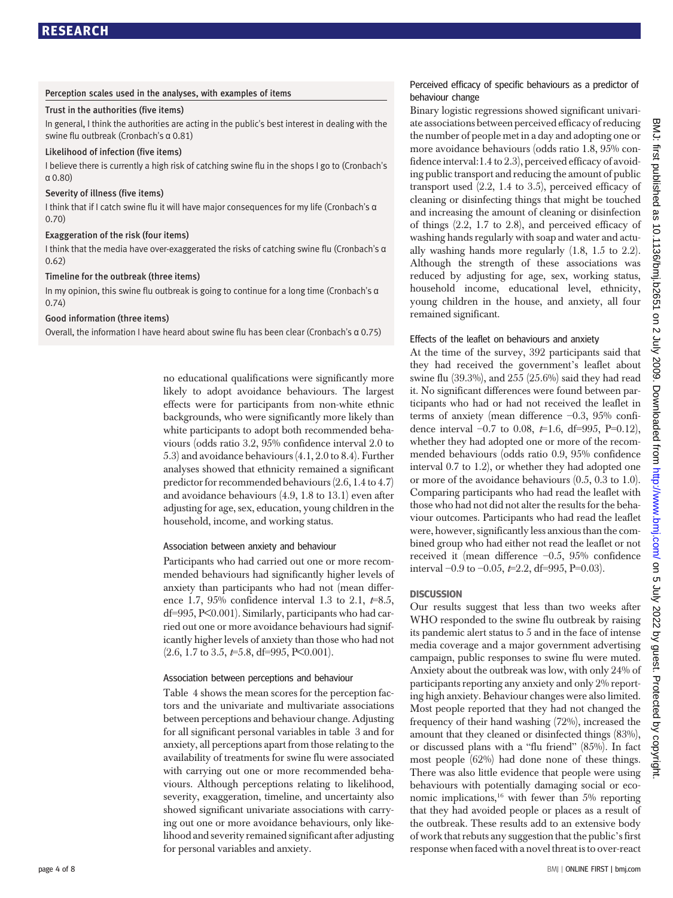#### Perception scales used in the analyses, with examples of items

#### Trust in the authorities (five items)

In general, I think the authorities are acting in the public's best interest in dealing with the swine flu outbreak (Cronbach's α 0.81)

#### Likelihood of infection (five items)

I believe there is currently a high risk of catching swine flu in the shops I go to (Cronbach's α 0.80)

#### Severity of illness (five items)

I think that if I catch swine flu it will have major consequences for my life (Cronbach's α 0.70)

#### Exaggeration of the risk (four items)

I think that the media have over-exaggerated the risks of catching swine flu (Cronbach's α 0.62)

#### Timeline for the outbreak (three items)

In my opinion, this swine flu outbreak is going to continue for a long time (Cronbach's α 0.74)

#### Good information (three items)

Overall, the information I have heard about swine flu has been clear (Cronbach's α 0.75)

no educational qualifications were significantly more likely to adopt avoidance behaviours. The largest effects were for participants from non-white ethnic backgrounds, who were significantly more likely than white participants to adopt both recommended behaviours (odds ratio 3.2, 95% confidence interval 2.0 to 5.3) and avoidance behaviours (4.1, 2.0 to 8.4). Further analyses showed that ethnicity remained a significant predictor for recommended behaviours (2.6, 1.4 to 4.7) and avoidance behaviours (4.9, 1.8 to 13.1) even after adjusting for age, sex, education, young children in the household, income, and working status.

#### Association between anxiety and behaviour

Participants who had carried out one or more recommended behaviours had significantly higher levels of anxiety than participants who had not (mean difference 1.7, 95% confidence interval 1.3 to 2.1,  $\neq 8.5$ , df=995, P<0.001). Similarly, participants who had carried out one or more avoidance behaviours had significantly higher levels of anxiety than those who had not  $(2.6, 1.7 \text{ to } 3.5, \neq 5.8, \text{df} = 995, \text{P} < 0.001).$ 

#### Association between perceptions and behaviour

Table 4 shows the mean scores for the perception factors and the univariate and multivariate associations between perceptions and behaviour change. Adjusting for all significant personal variables in table 3 and for anxiety, all perceptions apart from those relating to the availability of treatments for swine flu were associated with carrying out one or more recommended behaviours. Although perceptions relating to likelihood, severity, exaggeration, timeline, and uncertainty also showed significant univariate associations with carrying out one or more avoidance behaviours, only likelihood and severity remained significant after adjusting for personal variables and anxiety.

#### Perceived efficacy of specific behaviours as a predictor of behaviour change

Binary logistic regressions showed significant univariate associations between perceived efficacy of reducing the number of people met in a day and adopting one or more avoidance behaviours (odds ratio 1.8, 95% confidence interval:1.4 to 2.3), perceived efficacy of avoiding public transport and reducing the amount of public transport used (2.2, 1.4 to 3.5), perceived efficacy of cleaning or disinfecting things that might be touched and increasing the amount of cleaning or disinfection of things (2.2, 1.7 to 2.8), and perceived efficacy of washing hands regularly with soap and water and actually washing hands more regularly (1.8, 1.5 to 2.2). Although the strength of these associations was reduced by adjusting for age, sex, working status, household income, educational level, ethnicity, young children in the house, and anxiety, all four remained significant.

#### Effects of the leaflet on behaviours and anxiety

At the time of the survey, 392 participants said that they had received the government's leaflet about swine flu (39.3%), and 255 (25.6%) said they had read it. No significant differences were found between participants who had or had not received the leaflet in terms of anxiety (mean difference −0.3, 95% confidence interval  $-0.7$  to 0.08,  $t=1.6$ , df=995, P=0.12), whether they had adopted one or more of the recommended behaviours (odds ratio 0.9, 95% confidence interval 0.7 to 1.2), or whether they had adopted one or more of the avoidance behaviours (0.5, 0.3 to 1.0). Comparing participants who had read the leaflet with those who had not did not alter the results for the behaviour outcomes. Participants who had read the leaflet were, however, significantly less anxious than the combined group who had either not read the leaflet or not received it (mean difference −0.5, 95% confidence interval  $-0.9$  to  $-0.05$ ,  $t=2.2$ , df=995, P=0.03).

#### **DISCUSSION**

Our results suggest that less than two weeks after WHO responded to the swine flu outbreak by raising its pandemic alert status to 5 and in the face of intense media coverage and a major government advertising campaign, public responses to swine flu were muted. Anxiety about the outbreak was low, with only 24% of participants reporting any anxiety and only 2% reporting high anxiety. Behaviour changes were also limited. Most people reported that they had not changed the frequency of their hand washing (72%), increased the amount that they cleaned or disinfected things (83%), or discussed plans with a "flu friend" (85%). In fact most people (62%) had done none of these things. There was also little evidence that people were using behaviours with potentially damaging social or economic implications, $16$  with fewer than 5% reporting that they had avoided people or places as a result of the outbreak. These results add to an extensive body of work that rebuts any suggestion that the public's first response when faced with a novel threat is to over-react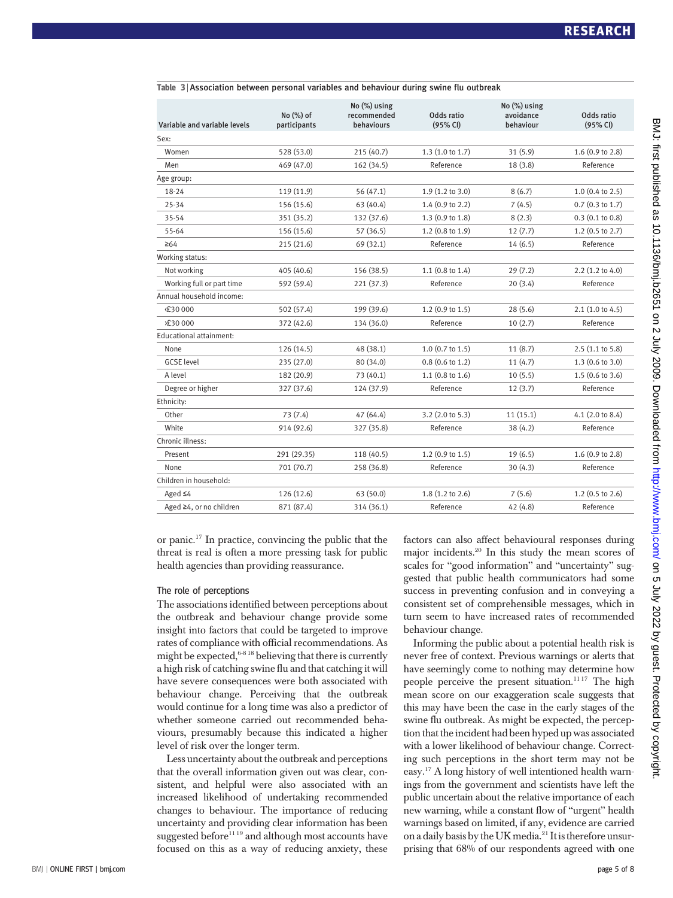| Variable and variable levels | No (%) of<br>participants | No (%) using<br>recommended<br>behaviours | Odds ratio<br>(95% CI)     | No (%) using<br>avoidance<br>behaviour | Odds ratio<br>(95% CI)     |
|------------------------------|---------------------------|-------------------------------------------|----------------------------|----------------------------------------|----------------------------|
| Sex:                         |                           |                                           |                            |                                        |                            |
| Women                        | 528 (53.0)                | 215(40.7)                                 | 1.3(1.0 to 1.7)            | 31(5.9)                                | 1.6 (0.9 to 2.8)           |
| Men                          | 469 (47.0)                | 162 (34.5)                                | Reference                  | 18(3.8)                                | Reference                  |
| Age group:                   |                           |                                           |                            |                                        |                            |
| 18-24                        | 119 (11.9)                | 56 (47.1)                                 | $1.9(1.2 \text{ to } 3.0)$ | 8(6.7)                                 | $1.0$ (0.4 to 2.5)         |
| 25-34                        | 156 (15.6)                | 63 (40.4)                                 | 1.4(0.9 to 2.2)            | 7(4.5)                                 | $0.7(0.3 \text{ to } 1.7)$ |
| 35-54                        | 351 (35.2)                | 132 (37.6)                                | $1.3(0.9 \text{ to } 1.8)$ | 8(2.3)                                 | 0.3(0.1 to 0.8)            |
| 55-64                        | 156 (15.6)                | 57 (36.5)                                 | 1.2 (0.8 to 1.9)           | 12(7.7)                                | 1.2 (0.5 to 2.7)           |
| $\geq 64$                    | 215 (21.6)                | 69 (32.1)                                 | Reference                  | 14(6.5)                                | Reference                  |
| Working status:              |                           |                                           |                            |                                        |                            |
| Not working                  | 405 (40.6)                | 156 (38.5)                                | 1.1 (0.8 to 1.4)           | 29(7.2)                                | $2.2$ (1.2 to 4.0)         |
| Working full or part time    | 592 (59.4)                | 221 (37.3)                                | Reference                  | 20(3.4)                                | Reference                  |
| Annual household income:     |                           |                                           |                            |                                        |                            |
| <b>E30000</b>                | 502 (57.4)                | 199 (39.6)                                | $1.2$ (0.9 to 1.5)         | 28(5.6)                                | 2.1 (1.0 to 4.5)           |
| >£30,000                     | 372 (42.6)                | 134 (36.0)                                | Reference                  | 10(2.7)                                | Reference                  |
| Educational attainment:      |                           |                                           |                            |                                        |                            |
| None                         | 126 (14.5)                | 48 (38.1)                                 | $1.0$ (0.7 to $1.5$ )      | 11(8.7)                                | 2.5 (1.1 to 5.8)           |
| <b>GCSE</b> level            | 235 (27.0)                | 80 (34.0)                                 | $0.8(0.6 \text{ to } 1.2)$ | 11(4.7)                                | $1.3(0.6 \text{ to } 3.0)$ |
| A level                      | 182 (20.9)                | 73 (40.1)                                 | $1.1$ (0.8 to 1.6)         | 10(5.5)                                | $1.5(0.6 \text{ to } 3.6)$ |
| Degree or higher             | 327 (37.6)                | 124 (37.9)                                | Reference                  | 12(3.7)                                | Reference                  |
| Ethnicity:                   |                           |                                           |                            |                                        |                            |
| Other                        | 73(7.4)                   | 47 (64.4)                                 | 3.2 (2.0 to 5.3)           | 11(15.1)                               | 4.1 (2.0 to 8.4)           |
| White                        | 914 (92.6)                | 327 (35.8)                                | Reference                  | 38(4.2)                                | Reference                  |
| Chronic illness:             |                           |                                           |                            |                                        |                            |
| Present                      | 291 (29.35)               | 118 (40.5)                                | $1.2$ (0.9 to 1.5)         | 19(6.5)                                | 1.6 (0.9 to 2.8)           |
| None                         | 701 (70.7)                | 258 (36.8)                                | Reference                  | 30(4.3)                                | Reference                  |
| Children in household:       |                           |                                           |                            |                                        |                            |
| Aged $\leq 4$                | 126 (12.6)                | 63(50.0)                                  | $1.8(1.2 \text{ to } 2.6)$ | 7(5.6)                                 | $1.2$ (0.5 to 2.6)         |
| Aged ≥4, or no children      | 871 (87.4)                | 314 (36.1)                                | Reference                  | 42(4.8)                                | Reference                  |

Table 3 <sup>|</sup> Association between personal variables and behaviour during swine flu outbreak

or panic.17 In practice, convincing the public that the threat is real is often a more pressing task for public health agencies than providing reassurance.

#### The role of perceptions

The associations identified between perceptions about the outbreak and behaviour change provide some insight into factors that could be targeted to improve rates of compliance with official recommendations. As might be expected,  $6-818$  believing that there is currently a high risk of catching swine flu and that catching it will have severe consequences were both associated with behaviour change. Perceiving that the outbreak would continue for a long time was also a predictor of whether someone carried out recommended behaviours, presumably because this indicated a higher level of risk over the longer term.

Less uncertainty about the outbreak and perceptions that the overall information given out was clear, consistent, and helpful were also associated with an increased likelihood of undertaking recommended changes to behaviour. The importance of reducing uncertainty and providing clear information has been suggested before $^{11\,19}$  and although most accounts have focused on this as a way of reducing anxiety, these factors can also affect behavioural responses during major incidents.20 In this study the mean scores of scales for "good information" and "uncertainty" suggested that public health communicators had some success in preventing confusion and in conveying a consistent set of comprehensible messages, which in turn seem to have increased rates of recommended behaviour change.

Informing the public about a potential health risk is never free of context. Previous warnings or alerts that have seemingly come to nothing may determine how people perceive the present situation.<sup>1117</sup> The high mean score on our exaggeration scale suggests that this may have been the case in the early stages of the swine flu outbreak. As might be expected, the perception that the incident had been hyped up was associated with a lower likelihood of behaviour change. Correcting such perceptions in the short term may not be easy.17 A long history of well intentioned health warnings from the government and scientists have left the public uncertain about the relative importance of each new warning, while a constant flow of "urgent" health warnings based on limited, if any, evidence are carried on a daily basis by the UK media.21 It is therefore unsurprising that 68% of our respondents agreed with one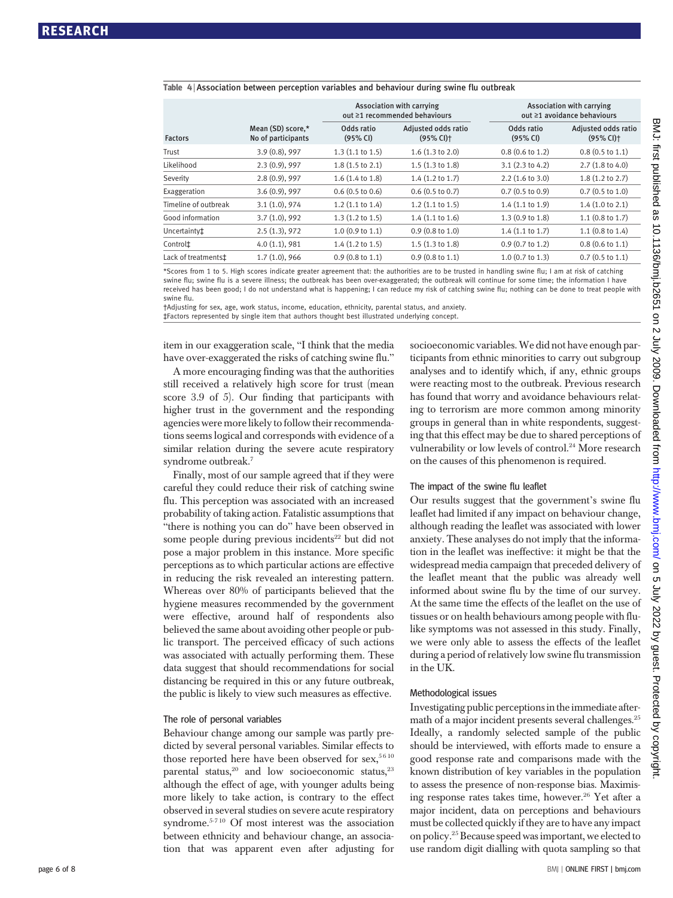|                                 |                                         | Association with carrying<br>out ≥1 recommended behaviours |                                 | Association with carrying<br>out ≥1 avoidance behaviours |                                 |
|---------------------------------|-----------------------------------------|------------------------------------------------------------|---------------------------------|----------------------------------------------------------|---------------------------------|
| <b>Factors</b>                  | Mean (SD) score,*<br>No of participants | Odds ratio<br>(95% CI)                                     | Adjusted odds ratio<br>(95% CI) | Odds ratio<br>(95% CI)                                   | Adjusted odds ratio<br>(95% CI) |
| Trust                           | 3.9 (0.8), 997                          | $1.3(1.1 \text{ to } 1.5)$                                 | $1.6(1.3 \text{ to } 2.0)$      | $0.8$ (0.6 to 1.2)                                       | $0.8$ $(0.5$ to $1.1)$          |
| Likelihood                      | 2.3(0.9), 997                           | $1.8(1.5 \text{ to } 2.1)$                                 | $1.5(1.3 \text{ to } 1.8)$      | $3.1$ (2.3 to 4.2)                                       | $2.7(1.8 \text{ to } 4.0)$      |
| Severity                        | $2.8(0.9)$ , 997                        | $1.6$ (1.4 to 1.8)                                         | $1.4$ (1.2 to 1.7)              | $2.2$ (1.6 to 3.0)                                       | $1.8(1.2 \text{ to } 2.7)$      |
| Exaggeration                    | 3.6(0.9), 997                           | $0.6$ $(0.5$ to $0.6)$                                     | $0.6$ (0.5 to 0.7)              | $0.7(0.5 \text{ to } 0.9)$                               | $0.7(0.5 \text{ to } 1.0)$      |
| Timeline of outbreak            | 3.1(1.0), 974                           | $1.2$ (1.1 to 1.4)                                         | $1.2$ (1.1 to 1.5)              | $1.4$ (1.1 to 1.9)                                       | $1.4$ (1.0 to 2.1)              |
| Good information                | 3.7(1.0), 992                           | $1.3$ (1.2 to 1.5)                                         | $1.4$ (1.1 to 1.6)              | 1.3(0.9 to 1.8)                                          | $1.1$ (0.8 to 1.7)              |
| Uncertainty <sup>±</sup>        | 2.5(1.3), 972                           | $1.0$ (0.9 to $1.1$ )                                      | $0.9(0.8 \text{ to } 1.0)$      | $1.4$ (1.1 to 1.7)                                       | $1.1$ (0.8 to 1.4)              |
| Control‡                        | 4.0(1.1), 981                           | $1.4$ (1.2 to 1.5)                                         | $1.5(1.3 \text{ to } 1.8)$      | $0.9$ (0.7 to 1.2)                                       | $0.8$ (0.6 to 1.1)              |
| Lack of treatments <sup>±</sup> | 1.7(1.0), 966                           | $0.9$ (0.8 to 1.1)                                         | $0.9(0.8 \text{ to } 1.1)$      | $1.0$ (0.7 to 1.3)                                       | $0.7(0.5 \text{ to } 1.1)$      |

#### Table 4 <sup>|</sup> Association between perception variables and behaviour during swine flu outbreak

\*Scores from 1 to 5. High scores indicate greater agreement that: the authorities are to be trusted in handling swine flu; I am at risk of catching swine flu; swine flu is a severe illness; the outbreak has been over-exaggerated; the outbreak will continue for some time; the information I have received has been good; I do not understand what is happening; I can reduce my risk of catching swine flu; nothing can be done to treat people with swine flu.

†Adjusting for sex, age, work status, income, education, ethnicity, parental status, and anxiety.

‡Factors represented by single item that authors thought best illustrated underlying concept.

item in our exaggeration scale, "I think that the media have over-exaggerated the risks of catching swine flu."

A more encouraging finding was that the authorities still received a relatively high score for trust (mean score 3.9 of 5). Our finding that participants with higher trust in the government and the responding agencies were more likely to follow their recommendations seems logical and corresponds with evidence of a similar relation during the severe acute respiratory syndrome outbreak.7

Finally, most of our sample agreed that if they were careful they could reduce their risk of catching swine flu. This perception was associated with an increased probability of taking action. Fatalistic assumptions that "there is nothing you can do" have been observed in some people during previous incidents<sup>22</sup> but did not pose a major problem in this instance. More specific perceptions as to which particular actions are effective in reducing the risk revealed an interesting pattern. Whereas over 80% of participants believed that the hygiene measures recommended by the government were effective, around half of respondents also believed the same about avoiding other people or public transport. The perceived efficacy of such actions was associated with actually performing them. These data suggest that should recommendations for social distancing be required in this or any future outbreak, the public is likely to view such measures as effective.

#### The role of personal variables

Behaviour change among our sample was partly predicted by several personal variables. Similar effects to those reported here have been observed for  $sex$ ,  $5610$ parental status,<sup>20</sup> and low socioeconomic status,<sup>23</sup> although the effect of age, with younger adults being more likely to take action, is contrary to the effect observed in several studies on severe acute respiratory syndrome.5-7 10 Of most interest was the association between ethnicity and behaviour change, an association that was apparent even after adjusting for socioeconomic variables.We did not have enough participants from ethnic minorities to carry out subgroup analyses and to identify which, if any, ethnic groups were reacting most to the outbreak. Previous research has found that worry and avoidance behaviours relating to terrorism are more common among minority groups in general than in white respondents, suggesting that this effect may be due to shared perceptions of vulnerability or low levels of control.<sup>24</sup> More research on the causes of this phenomenon is required.

#### The impact of the swine flu leaflet

Our results suggest that the government's swine flu leaflet had limited if any impact on behaviour change, although reading the leaflet was associated with lower anxiety. These analyses do not imply that the information in the leaflet was ineffective: it might be that the widespread media campaign that preceded delivery of the leaflet meant that the public was already well informed about swine flu by the time of our survey. At the same time the effects of the leaflet on the use of tissues or on health behaviours among people with flulike symptoms was not assessed in this study. Finally, we were only able to assess the effects of the leaflet during a period of relatively low swine flu transmission in the UK.

#### Methodological issues

Investigating public perceptions in the immediate aftermath of a major incident presents several challenges.<sup>25</sup> Ideally, a randomly selected sample of the public should be interviewed, with efforts made to ensure a good response rate and comparisons made with the known distribution of key variables in the population to assess the presence of non-response bias. Maximising response rates takes time, however.<sup>26</sup> Yet after a major incident, data on perceptions and behaviours must be collected quickly if they are to have any impact on policy.25Because speed was important, we elected to use random digit dialling with quota sampling so that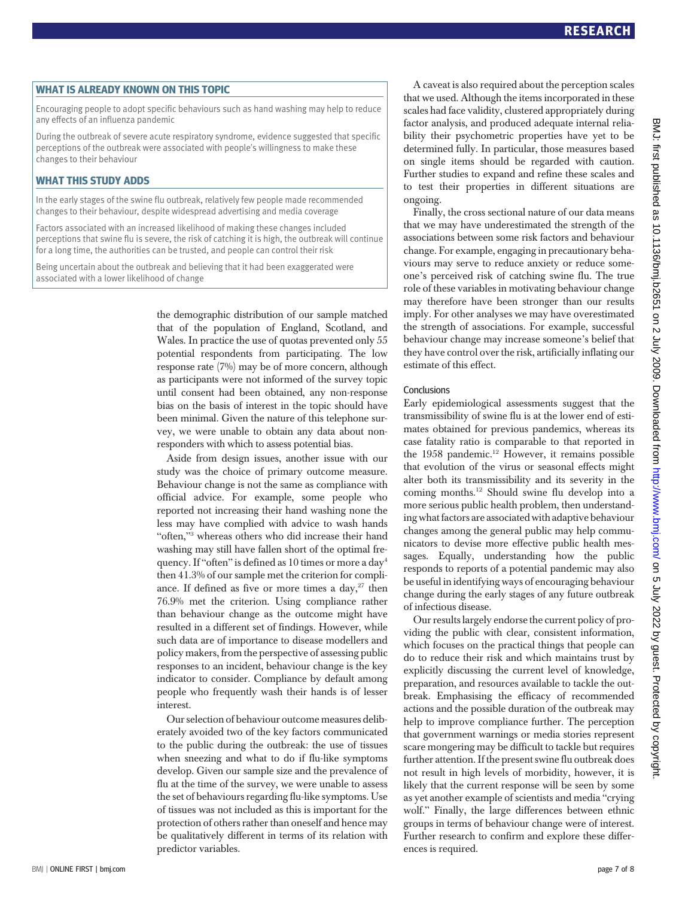#### WHAT IS ALREADY KNOWN ON THIS TOPIC

Encouraging people to adopt specific behaviours such as hand washing may help to reduce any effects of an influenza pandemic

During the outbreak of severe acute respiratory syndrome, evidence suggested that specific perceptions of the outbreak were associated with people's willingness to make these changes to their behaviour

#### WHAT THIS STUDY ADDS

In the early stages of the swine flu outbreak, relatively few people made recommended changes to their behaviour, despite widespread advertising and media coverage

Factors associated with an increased likelihood of making these changes included perceptions that swine flu is severe, the risk of catching it is high, the outbreak will continue for a long time, the authorities can be trusted, and people can control their risk

Being uncertain about the outbreak and believing that it had been exaggerated were associated with a lower likelihood of change

> the demographic distribution of our sample matched that of the population of England, Scotland, and Wales. In practice the use of quotas prevented only 55 potential respondents from participating. The low response rate (7%) may be of more concern, although as participants were not informed of the survey topic until consent had been obtained, any non-response bias on the basis of interest in the topic should have been minimal. Given the nature of this telephone survey, we were unable to obtain any data about nonresponders with which to assess potential bias.

> Aside from design issues, another issue with our study was the choice of primary outcome measure. Behaviour change is not the same as compliance with official advice. For example, some people who reported not increasing their hand washing none the less may have complied with advice to wash hands "often,"<sup>3</sup> whereas others who did increase their hand washing may still have fallen short of the optimal frequency. If "often" is defined as 10 times or more a day<sup>4</sup> then 41.3% of our sample met the criterion for compliance. If defined as five or more times a day, $27$  then 76.9% met the criterion. Using compliance rather than behaviour change as the outcome might have resulted in a different set of findings. However, while such data are of importance to disease modellers and policy makers, from the perspective of assessing public responses to an incident, behaviour change is the key indicator to consider. Compliance by default among people who frequently wash their hands is of lesser interest.

> Our selection of behaviour outcome measures deliberately avoided two of the key factors communicated to the public during the outbreak: the use of tissues when sneezing and what to do if flu-like symptoms develop. Given our sample size and the prevalence of flu at the time of the survey, we were unable to assess the set of behaviours regarding flu-like symptoms. Use of tissues was not included as this is important for the protection of others rather than oneself and hence may be qualitatively different in terms of its relation with predictor variables.

A caveat is also required about the perception scales that we used. Although the items incorporated in these scales had face validity, clustered appropriately during factor analysis, and produced adequate internal reliability their psychometric properties have yet to be determined fully. In particular, those measures based on single items should be regarded with caution. Further studies to expand and refine these scales and to test their properties in different situations are ongoing.

Finally, the cross sectional nature of our data means that we may have underestimated the strength of the associations between some risk factors and behaviour change. For example, engaging in precautionary behaviours may serve to reduce anxiety or reduce someone's perceived risk of catching swine flu. The true role of these variables in motivating behaviour change may therefore have been stronger than our results imply. For other analyses we may have overestimated the strength of associations. For example, successful behaviour change may increase someone's belief that they have control over the risk, artificially inflating our estimate of this effect.

#### **Conclusions**

Early epidemiological assessments suggest that the transmissibility of swine flu is at the lower end of estimates obtained for previous pandemics, whereas its case fatality ratio is comparable to that reported in the  $1958$  pandemic.<sup>12</sup> However, it remains possible that evolution of the virus or seasonal effects might alter both its transmissibility and its severity in the coming months.12 Should swine flu develop into a more serious public health problem, then understanding what factors are associated with adaptive behaviour changes among the general public may help communicators to devise more effective public health messages. Equally, understanding how the public responds to reports of a potential pandemic may also be useful in identifying ways of encouraging behaviour change during the early stages of any future outbreak of infectious disease.

Our results largely endorse the current policy of providing the public with clear, consistent information, which focuses on the practical things that people can do to reduce their risk and which maintains trust by explicitly discussing the current level of knowledge, preparation, and resources available to tackle the outbreak. Emphasising the efficacy of recommended actions and the possible duration of the outbreak may help to improve compliance further. The perception that government warnings or media stories represent scare mongering may be difficult to tackle but requires further attention. If the present swine flu outbreak does not result in high levels of morbidity, however, it is likely that the current response will be seen by some as yet another example of scientists and media "crying wolf." Finally, the large differences between ethnic groups in terms of behaviour change were of interest. Further research to confirm and explore these differences is required.